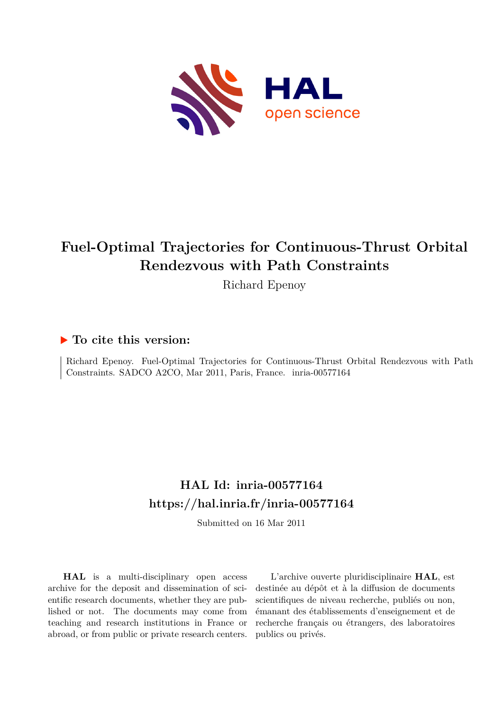

# **Fuel-Optimal Trajectories for Continuous-Thrust Orbital Rendezvous with Path Constraints**

Richard Epenoy

# **To cite this version:**

Richard Epenoy. Fuel-Optimal Trajectories for Continuous-Thrust Orbital Rendezvous with Path Constraints. SADCO A2CO, Mar 2011, Paris, France. inria-00577164

# **HAL Id: inria-00577164 <https://hal.inria.fr/inria-00577164>**

Submitted on 16 Mar 2011

**HAL** is a multi-disciplinary open access archive for the deposit and dissemination of scientific research documents, whether they are published or not. The documents may come from teaching and research institutions in France or abroad, or from public or private research centers.

L'archive ouverte pluridisciplinaire **HAL**, est destinée au dépôt et à la diffusion de documents scientifiques de niveau recherche, publiés ou non, émanant des établissements d'enseignement et de recherche français ou étrangers, des laboratoires publics ou privés.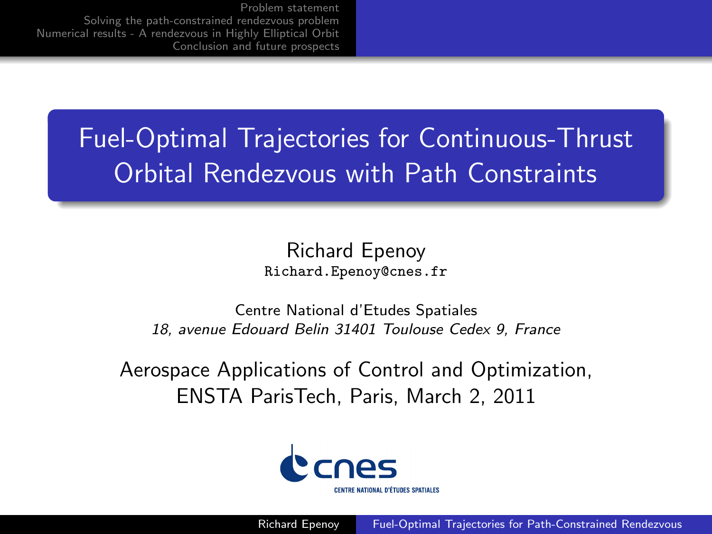> Fuel-Optimal Trajectories for Continuous-Thrust Orbital Rendezvous with Path Constraints

> > Richard Epenoy Richard.Epenoy@cnes.fr

Centre National d'Etudes Spatiales 18, avenue Edouard Belin 31401 Toulouse Cedex 9, France

Aerospace Applications of Control and Optimization, ENSTA ParisTech, Paris, March 2, 2011

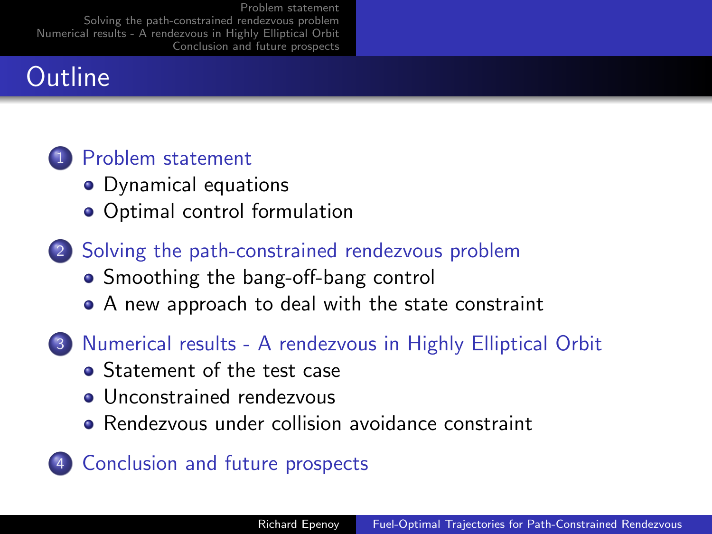# **Outline**



- Dynamical equations
- Optimal control formulation
- 2 Solving the path-constrained rendezvous problem
	- Smoothing the bang-off-bang control
	- A new approach to deal with the state constraint
- 3 Numerical results A rendezvous in Highly Elliptical Orbit
	- **Statement of the test case**
	- Unconstrained rendezvous
	- Rendezvous under collision avoidance constraint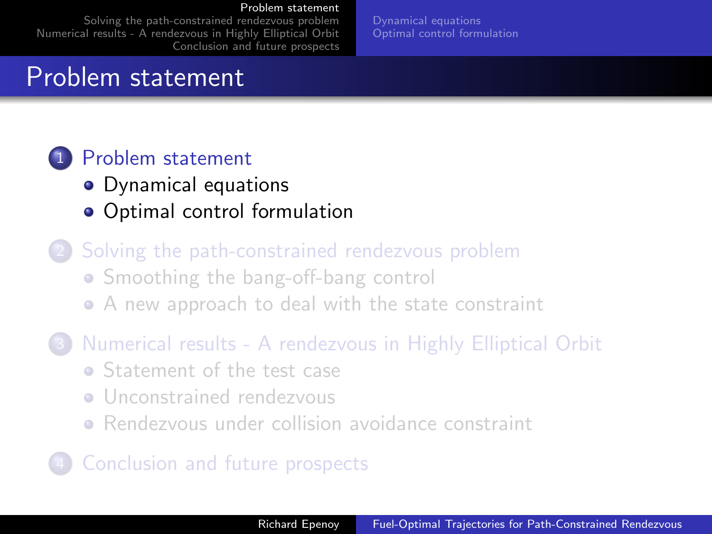Solving the path-constrained rendezvous problem Numerical results - A rendezvous in Highly Elliptical Orbit Conclusion and future prospects

Problem statement

## 1 Problem statement

- Dynamical equations
- Optimal control formulation
- Solving the path-constrained rendezvous problem • Smoothing the bang-off-bang control A new approach to deal with the state constraint
- 3 Numerical results A rendezvous in Highly Elliptical Orbit
	- **Statement of the test case**
	- **•** Unconstrained rendezvous
	- Rendezvous under collision avoidance constraint

## Conclusion and future prospects

Richard Epenoy Fuel-Optimal Trajectories for Path-Constrained Rendezvous

Dynamical equations Optimal control formulation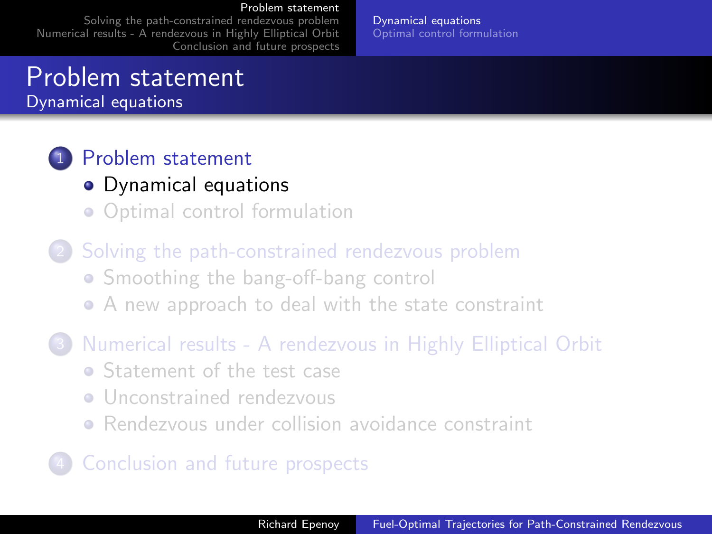Solving the path-constrained rendezvous problem Numerical results - A rendezvous in Highly Elliptical Orbit Conclusion and future prospects

Problem statement

Dynamical equations

## 1 Problem statement

- Dynamical equations
- Optimal control formulation
- Solving the path-constrained rendezvous problem • Smoothing the bang-off-bang control A new approach to deal with the state constraint
- 3 Numerical results A rendezvous in Highly Elliptical Orbit
	- Statement of the test case
	- **•** Unconstrained rendezvous
	- Rendezvous under collision avoidance constraint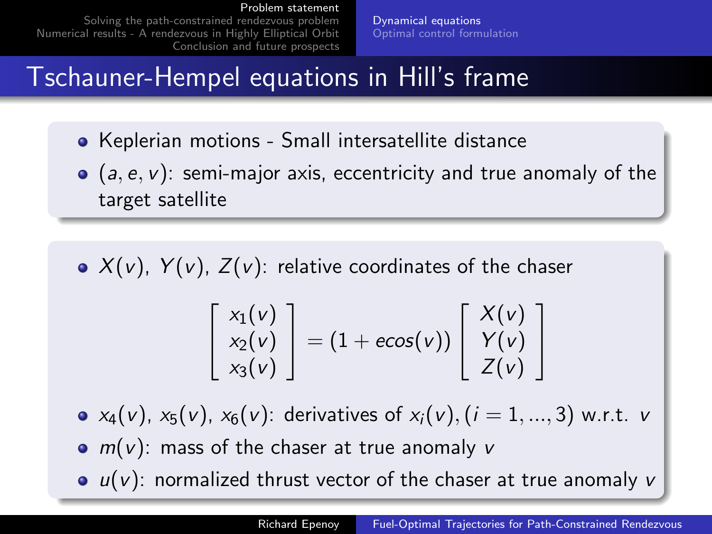Solving the path-constrained rendezvous problem Numerical results - A rendezvous in Highly Elliptical Orbit Conclusion and future prospects Dynamical equations Optimal control formulation

# Tschauner-Hempel equations in Hill's frame

- Keplerian motions Small intersatellite distance
- $\bullet$  (a, e, v): semi-major axis, eccentricity and true anomaly of the target satellite
- $\bullet$   $X(v)$ ,  $Y(v)$ ,  $Z(v)$ : relative coordinates of the chaser

$$
\begin{bmatrix} x_1(v) \\ x_2(v) \\ x_3(v) \end{bmatrix} = (1 + e\cos(v)) \begin{bmatrix} X(v) \\ Y(v) \\ Z(v) \end{bmatrix}
$$

•  $x_4(v)$ ,  $x_5(v)$ ,  $x_6(v)$ : derivatives of  $x_i(v)$ ,  $(i = 1, ..., 3)$  w.r.t. v

- $m(v)$ : mass of the chaser at true anomaly v
- $\bullet$   $u(v)$ : normalized thrust vector of the chaser at true anomaly v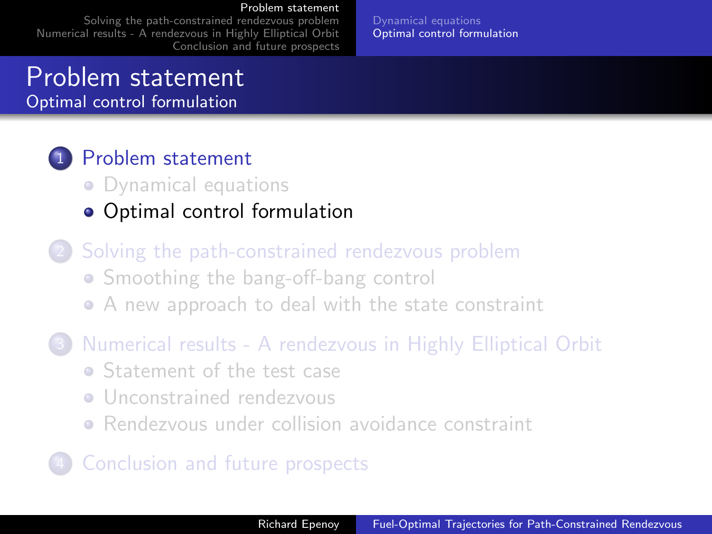Solving the path-constrained rendezvous problem Numerical results - A rendezvous in Highly Elliptical Orbit Conclusion and future prospects Dynamical equations Optimal control formulation

# Problem statement

Optimal control formulation

### 1 Problem statement

- Dynamical equations
- Optimal control formulation
- Solving the path-constrained rendezvous problem • Smoothing the bang-off-bang control A new approach to deal with the state constraint
- 3 Numerical results A rendezvous in Highly Elliptical Orbit
	- Statement of the test case
	- **•** Unconstrained rendezvous
	- Rendezvous under collision avoidance constraint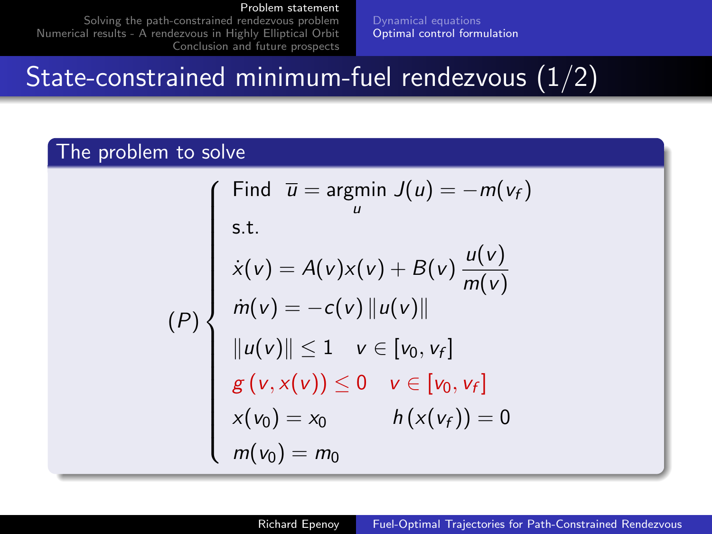Solving the path-constrained rendezvous problem Numerical results - A rendezvous in Highly Elliptical Orbit Conclusion and future prospects Dynamical equations Optimal control formulation

# State-constrained minimum-fuel rendezvous (1/2)

#### The problem to solve

$$
(P)
$$
\n
$$
\begin{cases}\n\text{Find } \bar{u} = \underset{u}{\text{argmin}} \ J(u) = -m(v_f) \\
\text{s.t.} \\
\dot{x}(v) = A(v)x(v) + B(v) \ \frac{u(v)}{m(v)} \\
\dot{m}(v) = -c(v) ||u(v)|| \\
\|u(v)|| \le 1 \quad v \in [v_0, v_f] \\
g(v, x(v)) \le 0 \quad v \in [v_0, v_f] \\
x(v_0) = x_0 \qquad h(x(v_f)) = 0 \\
m(v_0) = m_0\n\end{cases}
$$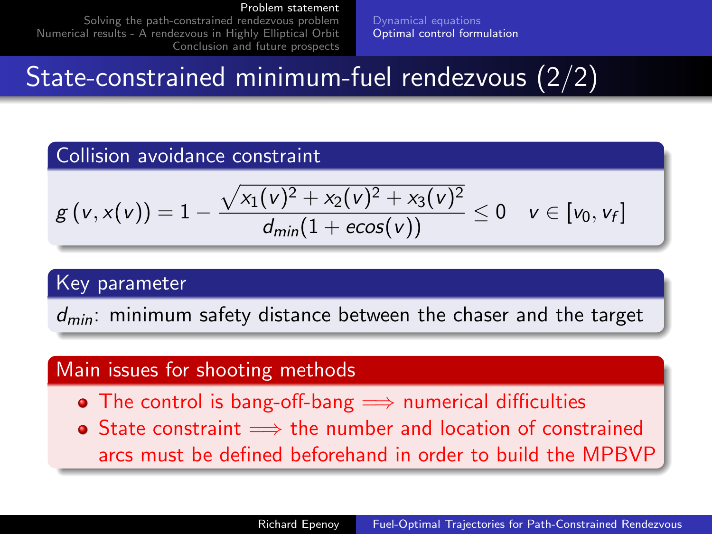Solving the path-constrained rendezvous problem Numerical results - A rendezvous in Highly Elliptical Orbit Conclusion and future prospects Dynamical equations Optimal control formulation

# State-constrained minimum-fuel rendezvous (2/2)

#### Collision avoidance constraint

$$
g\left(v,x(v)\right)=1-\frac{\sqrt{x_{1}(v)^{2}+x_{2}(v)^{2}+x_{3}(v)^{2}}}{d_{min}(1+ecos(v))}\leq0\quad v\in[v_{0},v_{f}]
$$

#### Key parameter

 $d_{min}$ : minimum safety distance between the chaser and the target

#### Main issues for shooting methods

- The control is bang-off-bang  $\implies$  numerical difficulties
- State constraint  $\implies$  the number and location of constrained arcs must be defined beforehand in order to build the MPBVP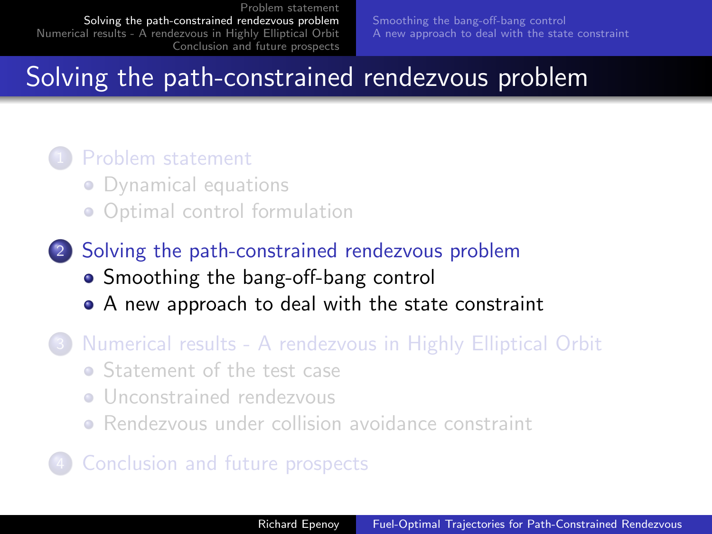Smoothing the bang-off-bang control A new approach to deal with the state constraint

# Solving the path-constrained rendezvous problem

#### Problem statement

- Dynamical equations
- Optimal control formulation
- 2 Solving the path-constrained rendezvous problem • Smoothing the bang-off-bang control
	- A new approach to deal with the state constraint
- 3 Numerical results A rendezvous in Highly Elliptical Orbit
	- **Statement of the test case**
	- **•** Unconstrained rendezvous
	- Rendezvous under collision avoidance constraint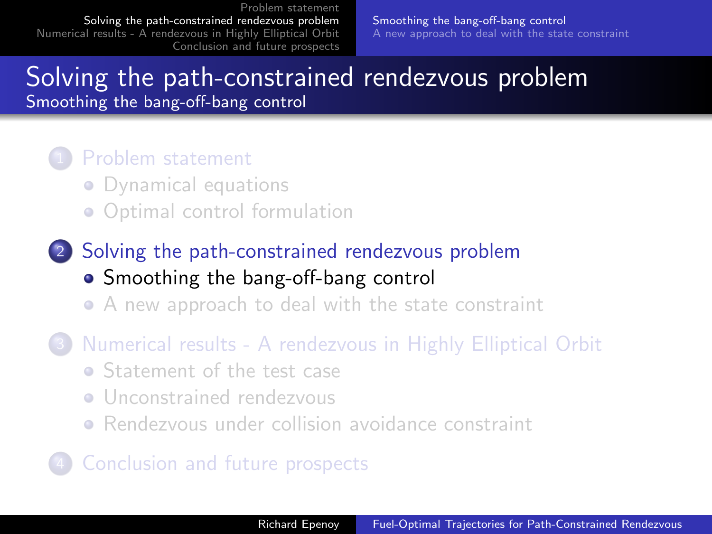Smoothing the bang-off-bang control A new approach to deal with the state constraint

# Solving the path-constrained rendezvous problem

Smoothing the bang-off-bang control

#### Problem statement

- Dynamical equations
- Optimal control formulation
- 2 Solving the path-constrained rendezvous problem • Smoothing the bang-off-bang control
	- A new approach to deal with the state constraint
- 3 Numerical results A rendezvous in Highly Elliptical Orbit
	- Statement of the test case
	- **•** Unconstrained rendezvous
	- Rendezvous under collision avoidance constraint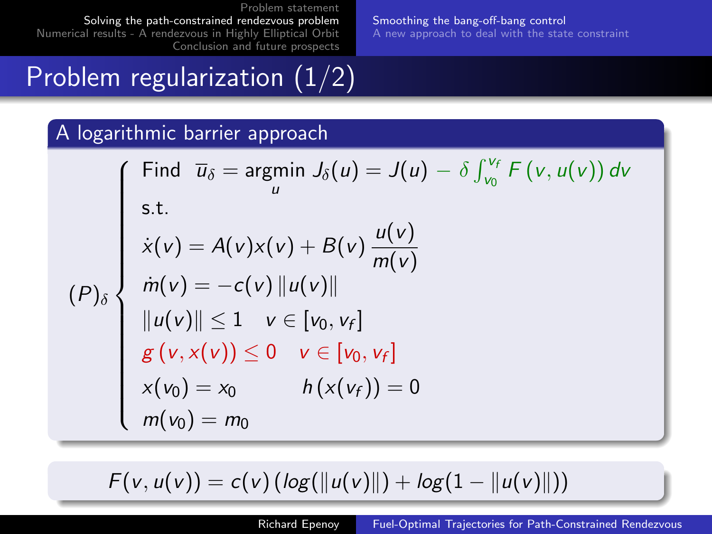Smoothing the bang-off-bang control A new approach to deal with the state constraint

# Problem regularization (1/2)

#### A logarithmic barrier approach

 $(P)$ 

Find 
$$
\overline{u}_{\delta} = \underset{u}{\text{argmin}} J_{\delta}(u) = J(u) - \delta \int_{v_0}^{v_f} F(v, u(v)) dv
$$
  
\ns.t.  
\n
$$
\dot{x}(v) = A(v)x(v) + B(v) \frac{u(v)}{m(v)}
$$
\n
$$
\dot{m}(v) = -c(v) ||u(v)||
$$
\n
$$
||u(v)|| \le 1 \quad v \in [v_0, v_f]
$$
\n
$$
g(v, x(v)) \le 0 \quad v \in [v_0, v_f]
$$
\n
$$
x(v_0) = x_0 \qquad h(x(v_f)) = 0
$$
\n
$$
m(v_0) = m_0
$$

 $F(v, u(v)) = c(v) (log(||u(v)||) + log(1 - ||u(v)||))$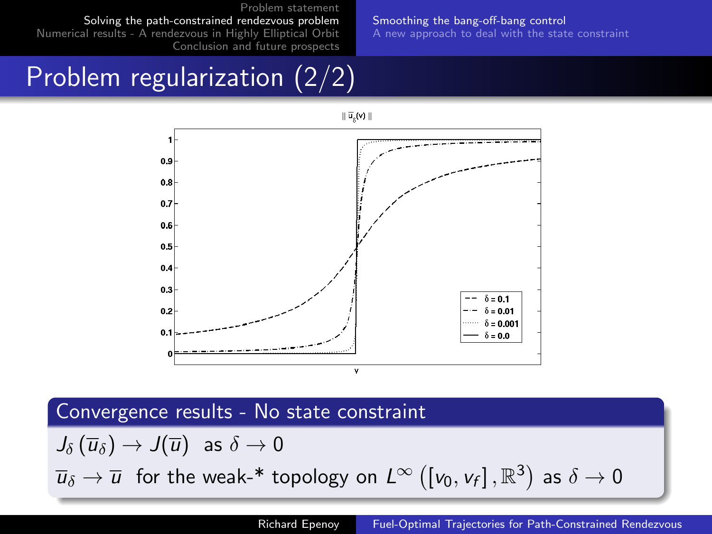Solving the path-constrained rendezvous problem Numerical results - A rendezvous in Highly Elliptical Orbit Conclusion and future prospects Smoothing the bang-off-bang control A new approach to deal with the state constraint

# Problem regularization (2/2)



#### Convergence results - No state constraint

 $J_{\delta}(\overline{u}_{\delta}) \rightarrow J(\overline{u})$  as  $\delta \rightarrow 0$  $\overline{u}_\delta\to\overline{u}_\mathrm{~~}$  for the weak-\* topology on  $L^\infty\left(\left[v_0,v_f\right],\mathbb{R}^3\right)$  as  $\delta\to0$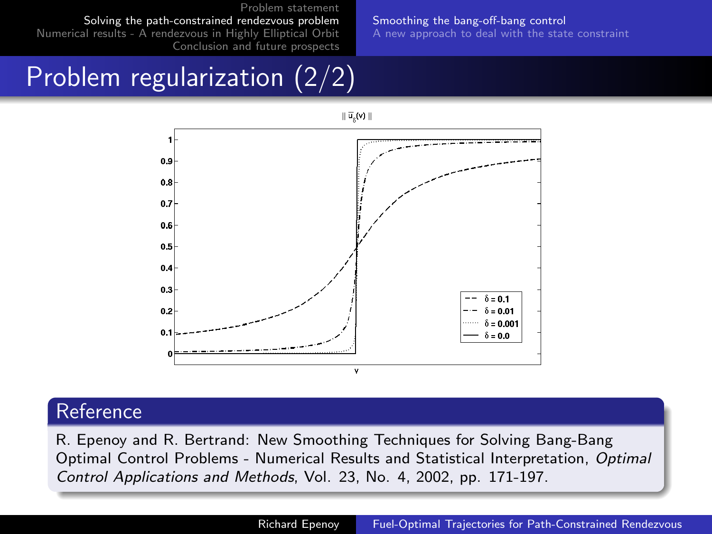Solving the path-constrained rendezvous problem Numerical results - A rendezvous in Highly Elliptical Orbit Conclusion and future prospects Smoothing the bang-off-bang control A new approach to deal with the state constraint

# Problem regularization (2/2)



#### Reference

R. Epenoy and R. Bertrand: New Smoothing Techniques for Solving Bang-Bang Optimal Control Problems - Numerical Results and Statistical Interpretation, Optimal Control Applications and Methods, Vol. 23, No. 4, 2002, pp. 171-197.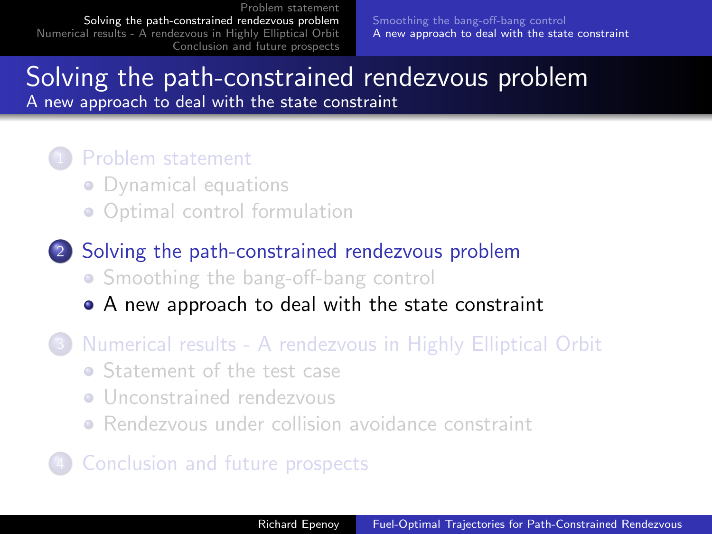Smoothing the bang-off-bang control A new approach to deal with the state constraint

## Solving the path-constrained rendezvous problem

A new approach to deal with the state constraint

#### Problem statement

- Dynamical equations
- Optimal control formulation
- 2 Solving the path-constrained rendezvous problem • Smoothing the bang-off-bang control
	- A new approach to deal with the state constraint
- 3 Numerical results A rendezvous in Highly Elliptical Orbit
	- Statement of the test case
	- **•** Unconstrained rendezvous
	- Rendezvous under collision avoidance constraint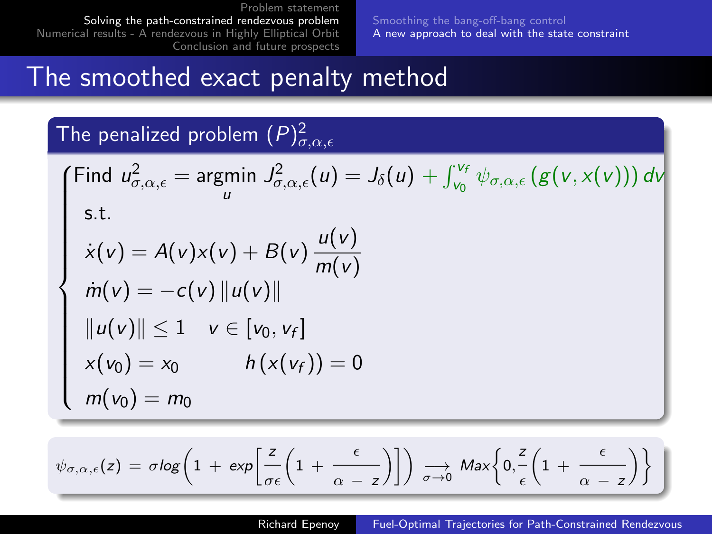Smoothing the bang-off-bang control A new approach to deal with the state constraint

# The smoothed exact penalty method

The penalized problem  $(P)^2_{\sigma,\alpha,\epsilon}$ 

Find 
$$
u_{\sigma,\alpha,\epsilon}^2
$$
 = argmin  $J_{\sigma,\alpha,\epsilon}^2(u) = J_{\delta}(u) + \int_{v_0}^{v_f} \psi_{\sigma,\alpha,\epsilon} (g(v,x(v))) dv$   
s.t.  
\n
$$
\dot{x}(v) = A(v)x(v) + B(v) \frac{u(v)}{m(v)}
$$
\n
$$
\dot{m}(v) = -c(v) ||u(v)||
$$
\n
$$
||u(v)|| \le 1 \quad v \in [v_0, v_f]
$$
\n
$$
x(v_0) = x_0 \qquad h(x(v_f)) = 0
$$
\n
$$
m(v_0) = m_0
$$

$$
\psi_{\sigma,\alpha,\epsilon}(z) = \sigma \log \left(1 + \exp \left[\frac{z}{\sigma \epsilon} \left(1 + \frac{\epsilon}{\alpha - z}\right)\right]\right) \xrightarrow[\sigma \to 0]{} \text{Max} \left\{0, \frac{z}{\epsilon} \left(1 + \frac{\epsilon}{\alpha - z}\right)\right\} \Bigg]
$$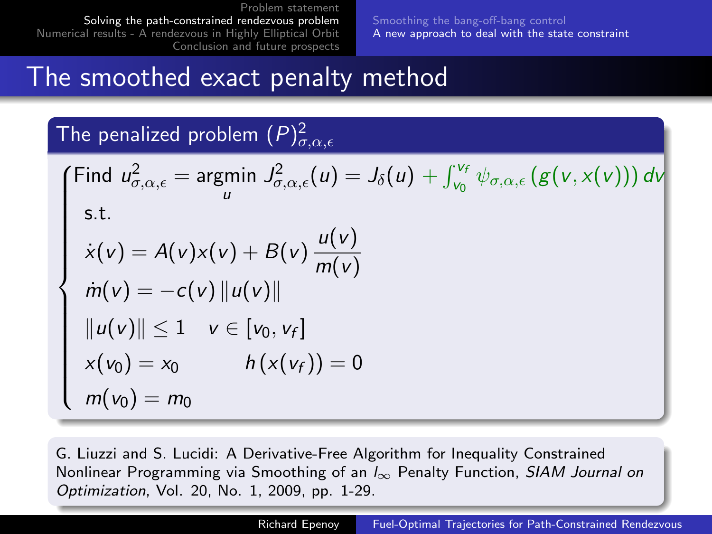Smoothing the bang-off-bang control A new approach to deal with the state constraint

# The smoothed exact penalty method

The penalized problem  $(P)^2_{\sigma,\alpha,\epsilon}$ 

Find 
$$
u_{\sigma,\alpha,\epsilon}^2 = \underset{u}{\text{argmin}} J_{\sigma,\alpha,\epsilon}^2(u) = J_{\delta}(u) + \int_{v_0}^{v_f} \psi_{\sigma,\alpha,\epsilon} (g(v, x(v))) dv
$$
  
s.t.  
\n
$$
\dot{x}(v) = A(v)x(v) + B(v) \frac{u(v)}{m(v)}
$$
\n
$$
\dot{m}(v) = -c(v) ||u(v)||
$$
\n
$$
||u(v)|| \le 1 \quad v \in [v_0, v_f]
$$
\n
$$
x(v_0) = x_0 \qquad h(x(v_f)) = 0
$$
\n
$$
m(v_0) = m_0
$$

G. Liuzzi and S. Lucidi: A Derivative-Free Algorithm for Inequality Constrained Nonlinear Programming via Smoothing of an  $I_{\infty}$  Penalty Function, SIAM Journal on Optimization, Vol. 20, No. 1, 2009, pp. 1-29.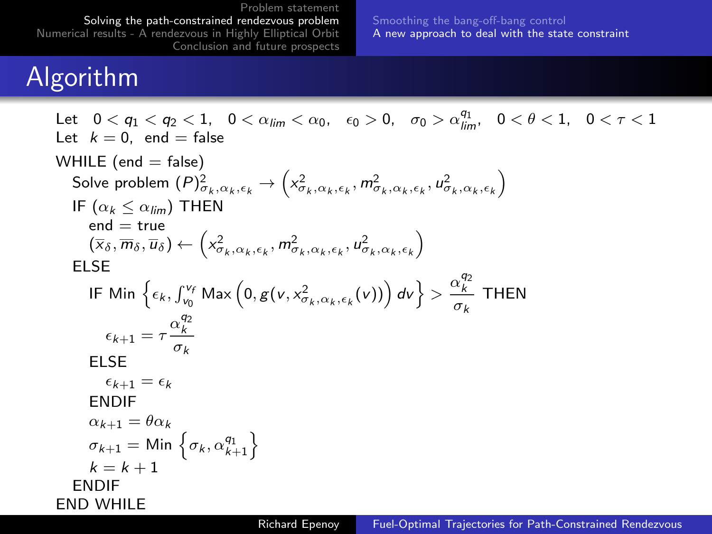Smoothing the bang-off-bang control A new approach to deal with the state constraint

# Algorithm

Let  $0 < q_1 < q_2 < 1$ ,  $0 < \alpha_{lim} < \alpha_0$ ,  $\epsilon_0 > 0$ ,  $\sigma_0 > \alpha_{lim}^{q_1}$ ,  $0 < \theta < 1$ ,  $0 < \tau < 1$ Let  $k = 0$ , end = false WHILE (end  $=$  false) Solve problem  $(P)_{\sigma_k,\alpha_k,\epsilon_k}^2 \to \left(x_{\sigma_k,\alpha_k,\epsilon_k}^2,m_{\sigma_k,\alpha_k,\epsilon_k}^2,u_{\sigma_k,\alpha_k,\epsilon_k}^2\right)$ IF  $(\alpha_k < \alpha_{lim})$  THEN  $end = true$  $(\overline{x}_{\delta}, \overline{m}_{\delta}, \overline{u}_{\delta}) \leftarrow (x_{\sigma_k, \alpha_k, \epsilon_k}^2, m_{\sigma_k, \alpha_k, \epsilon_k}^2, u_{\sigma_k, \alpha_k, \epsilon_k}^2)$ ELSE IF Min  $\left\{\epsilon_k, \int_{v_0}^{v_f} Max\left(0, g(v, x_{\sigma_k, \alpha_k, \epsilon_k}^2(v))\right) dv\right\} > \frac{\alpha_k^{q_2}}{\sigma_k}$  THEN  $\epsilon_{k+1} = \tau \frac{\alpha_k^{q_2}}{\sigma_k}$ ELSE  $\epsilon_{k+1} = \epsilon_k$ ENDIF  $\alpha_{k+1} = \theta \alpha_k$  $\sigma_{k+1} = \text{Min} \left\{ \sigma_k, \alpha_{k+1}^{q_1} \right\}$  $k = k + 1$ ENDIF END WHILE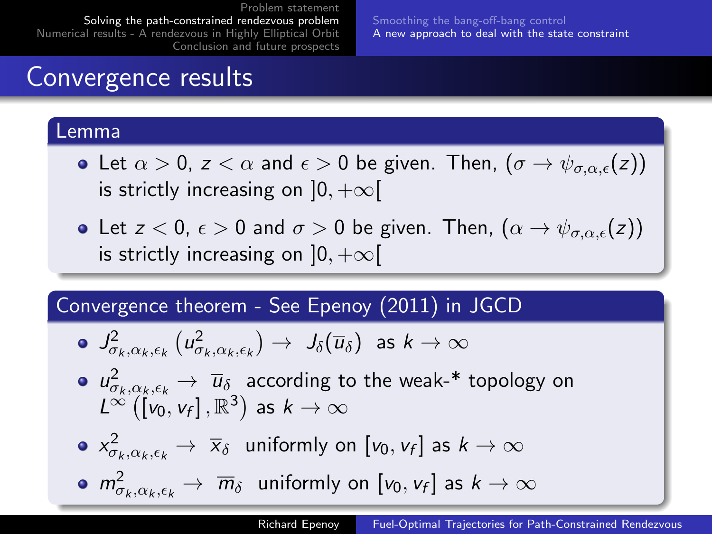Smoothing the bang-off-bang control A new approach to deal with the state constraint

# Convergence results

#### Lemma

- Let  $\alpha > 0$ ,  $z < \alpha$  and  $\epsilon > 0$  be given. Then,  $(\sigma \to \psi_{\sigma,\alpha,\epsilon}(z))$ is strictly increasing on  $]0, +\infty[$
- Let  $z < 0$ ,  $\epsilon > 0$  and  $\sigma > 0$  be given. Then,  $(\alpha \rightarrow \psi_{\sigma,\alpha,\epsilon}(z))$ is strictly increasing on  $]0, +\infty[$

#### Convergence theorem - See Epenoy (2011) in JGCD

$$
\quad \bullet \ \ J^2_{\sigma_k,\alpha_k,\epsilon_k}\left( u^2_{\sigma_k,\alpha_k,\epsilon_k}\right) \rightarrow \ J_{\delta}(\overline{u}_{\delta}) \ \ \text{as} \ k \rightarrow \infty
$$

- $\mu^2_{\sigma_k, \alpha_k, \epsilon_k} \to \bar{u}_\delta$  according to the weak-\* topology on  $L^{\infty}(\hat{v}_0, v_f], \mathbb{R}^3)$  as  $k \to \infty$
- $\chi^2_{\sigma_k,\alpha_k,\epsilon_k}\to\ \overline{\chi}_\delta\;$  uniformly on  $[\mathsf{v}_0,\mathsf{v}_\mathsf{f}]$  as  $k\to\infty$
- $m^2_{\sigma_k,\alpha_k,\epsilon_k}\to\ \overline{m}_\delta\;$  uniformly on  $[\nu_0,\nu_f]$  as  $k\to\infty$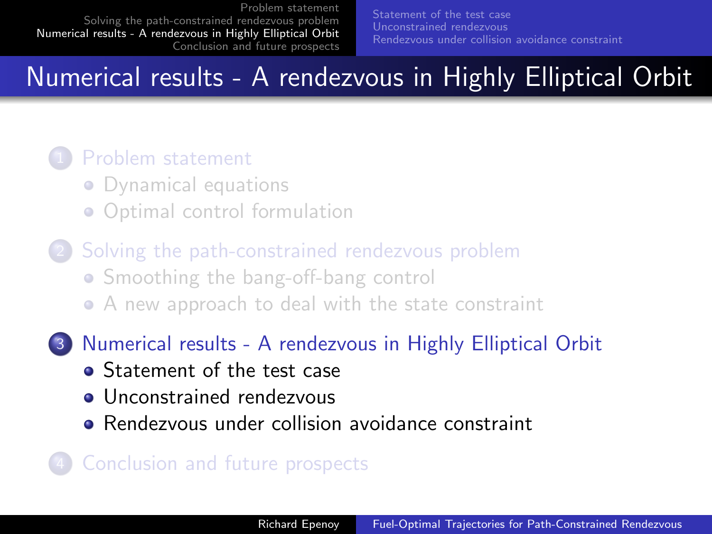# Numerical results - A rendezvous in Highly Elliptical Orbit

#### Problem statement

- Dynamical equations
- Optimal control formulation
- Solving the path-constrained rendezvous problem • Smoothing the bang-off-bang control A new approach to deal with the state constraint
- 3 Numerical results A rendezvous in Highly Elliptical Orbit
	- **Statement of the test case**
	- Unconstrained rendezvous
	- **•** Rendezvous under collision avoidance constraint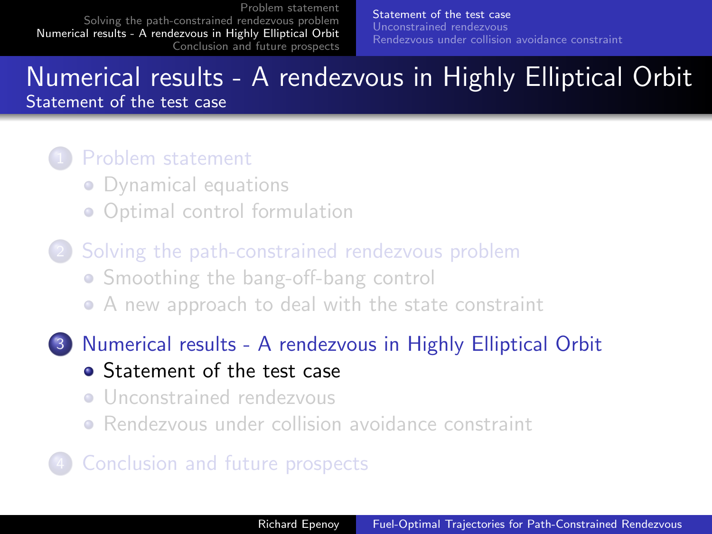Statement of the test case Unconstrained rendezvous Rendezvous under collision avoidance constraint

#### Numerical results - A rendezvous in Highly Elliptical Orbit Statement of the test case

#### Problem statement

- Dynamical equations
- Optimal control formulation
- Solving the path-constrained rendezvous problem • Smoothing the bang-off-bang control A new approach to deal with the state constraint
- 3 Numerical results A rendezvous in Highly Elliptical Orbit
	- Statement of the test case
	- **•** Unconstrained rendezvous
	- Rendezvous under collision avoidance constraint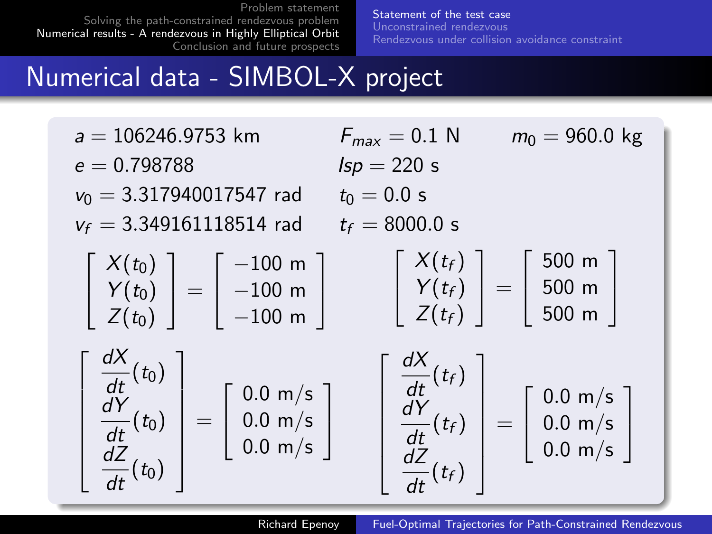Statement of the test case Unconstrained rendezvous Rendezvous under collision avoidance constraint

# Numerical data - SIMBOL-X project

| $a = 106246.9753$ km<br>$e = 0.798788$<br>$v_0 = 3.317940017547$ rad<br>$v_f = 3.349161118514$ rad                                                                                | $F_{max} = 0.1$ N<br>$Isp = 220$ s<br>$t_0 = 0.0 s$<br>$t_f = 8000.0 s$                                                                                                                                      | $m_0 = 960.0$ kg |
|-----------------------------------------------------------------------------------------------------------------------------------------------------------------------------------|--------------------------------------------------------------------------------------------------------------------------------------------------------------------------------------------------------------|------------------|
| $\begin{bmatrix} X(t_0) \\ Y(t_0) \\ Z(t_0) \end{bmatrix} = \begin{bmatrix} -100 \text{ m} \\ -100 \text{ m} \\ -100 \text{ m} \end{bmatrix}$                                     | $\left[\begin{array}{c} X(t_f) \\ Y(t_f) \\ Z(t_f) \end{array}\right] = \left[\begin{array}{c} 500 \text{ m} \\ 500 \text{ m} \\ 500 \text{ m} \end{array}\right]$                                           |                  |
| $\begin{bmatrix} \frac{dX}{dt}(t_0)\ \frac{dY}{dt}(t_0)\ \frac{dZ}{dt}(t_0)\ \end{bmatrix} = \begin{bmatrix} 0.0 \text{ m/s} \ 0.0 \text{ m/s} \ 0.0 \text{ m/s} \ \end{bmatrix}$ | $\left[\begin{array}{c} \frac{dX}{dt}(t_f) \\ \frac{dY}{dt}(t_f) \\ \frac{dZ}{dt}(t_f) \end{array}\right] = \left[\begin{array}{c} 0.0 \text{ m/s} \\ 0.0 \text{ m/s} \\ 0.0 \text{ m/s} \end{array}\right]$ |                  |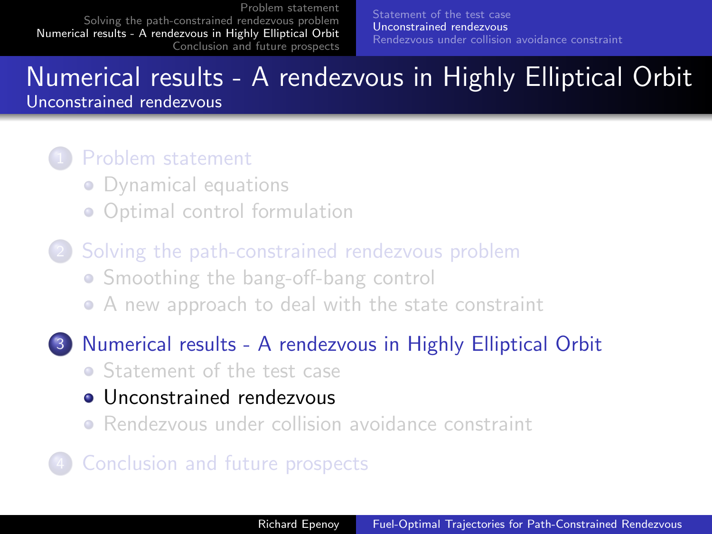#### Numerical results - A rendezvous in Highly Elliptical Orbit Unconstrained rendezvous

#### Problem statement

- Dynamical equations
- Optimal control formulation
- Solving the path-constrained rendezvous problem • Smoothing the bang-off-bang control A new approach to deal with the state constraint
- 3 Numerical results A rendezvous in Highly Elliptical Orbit • Statement of the test case
	- Unconstrained rendezvous
	- Rendezvous under collision avoidance constraint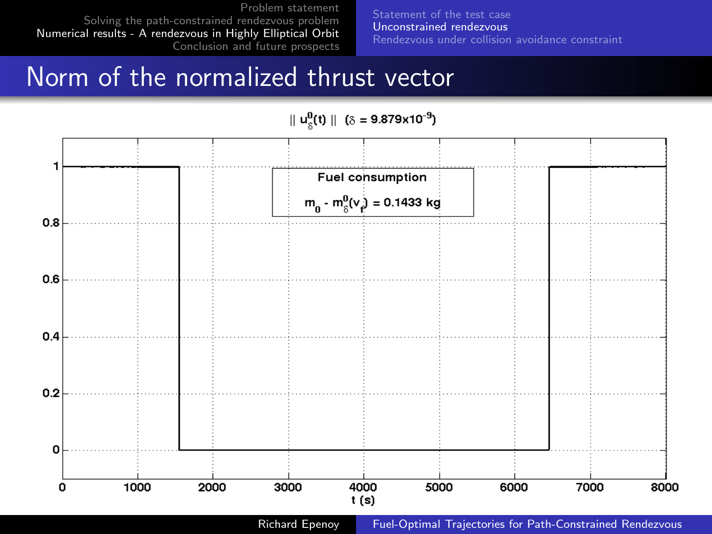Statement of the test case Unconstrained rendezvous Rendezvous under collision avoidance constraint

# Norm of the normalized thrust vector

#### $||u_c^0(t)||$  ( $\delta = 9.879 \times 10^{-9}$ )

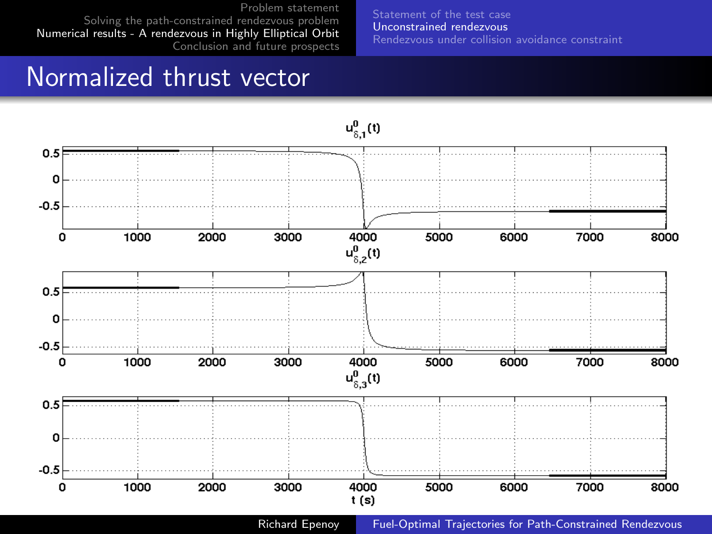Statement of the test case Unconstrained rendezvous Rendezvous under collision avoidance constraint

## Normalized thrust vector

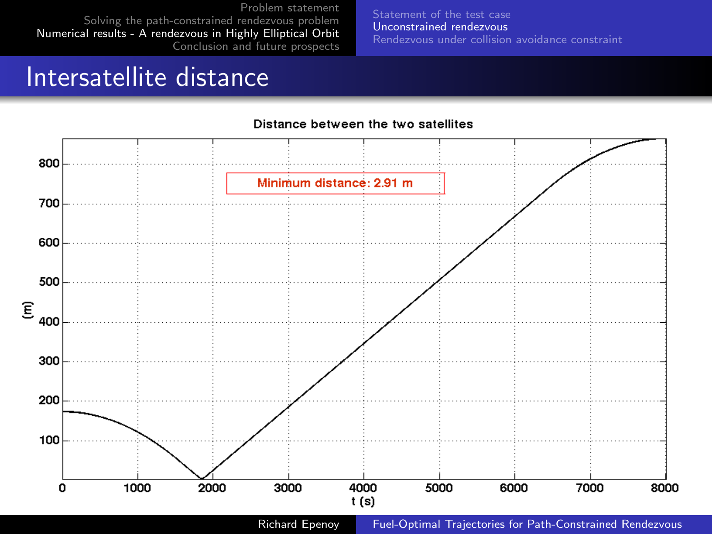Statement of the test case Unconstrained rendezvous Rendezvous under collision avoidance constraint

# Intersatellite distance



#### Distance between the two satellites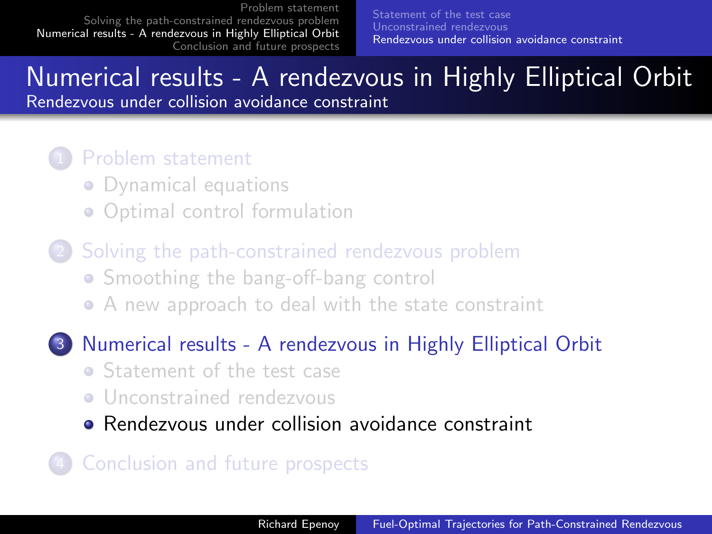Statement of the test case Unconstrained rendezvous Rendezvous under collision avoidance constraint

# Numerical results - A rendezvous in Highly Elliptical Orbit

Rendezvous under collision avoidance constraint

#### Problem statement

- Dynamical equations
- Optimal control formulation
- Solving the path-constrained rendezvous problem • Smoothing the bang-off-bang control A new approach to deal with the state constraint

#### 3 Numerical results - A rendezvous in Highly Elliptical Orbit

- Statement of the test case
- **•** Unconstrained rendezvous
- Rendezvous under collision avoidance constraint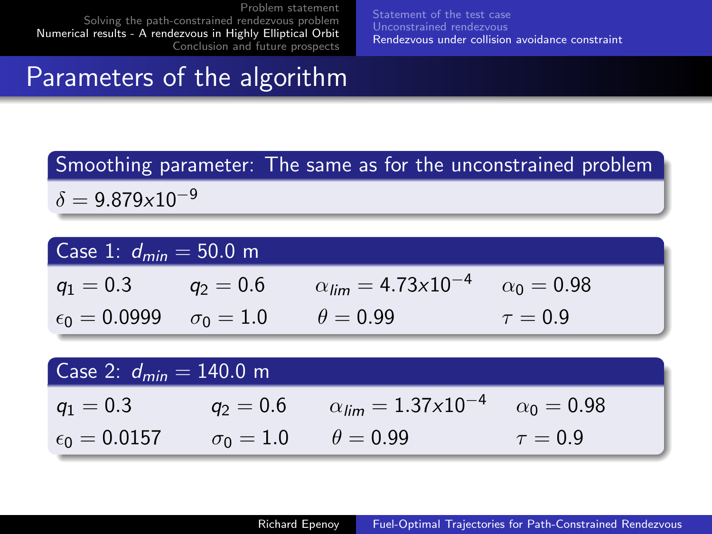Statement of the test case Unconstrained rendezvous Rendezvous under collision avoidance constraint

# Parameters of the algorithm

#### Smoothing parameter: The same as for the unconstrained problem

 $\delta = 9.879 \times 10^{-9}$ 

| Case 1: $d_{min} = 50.0$ m                             |                                                                                |              |
|--------------------------------------------------------|--------------------------------------------------------------------------------|--------------|
|                                                        | $q_1 = 0.3$ $q_2 = 0.6$ $\alpha_{lim} = 4.73 \times 10^{-4}$ $\alpha_0 = 0.98$ |              |
| $\epsilon_0 = 0.0999$ $\sigma_0 = 1.0$ $\theta = 0.99$ |                                                                                | $\tau = 0.9$ |

| Case 2: $d_{min} = 140.0$ m                            |                                                                    |              |  |
|--------------------------------------------------------|--------------------------------------------------------------------|--------------|--|
| $q_1 = 0.3$                                            | $q_2 = 0.6$ $\alpha_{lim} = 1.37 \times 10^{-4}$ $\alpha_0 = 0.98$ |              |  |
| $\epsilon_0 = 0.0157$ $\sigma_0 = 1.0$ $\theta = 0.99$ |                                                                    | $\tau = 0.9$ |  |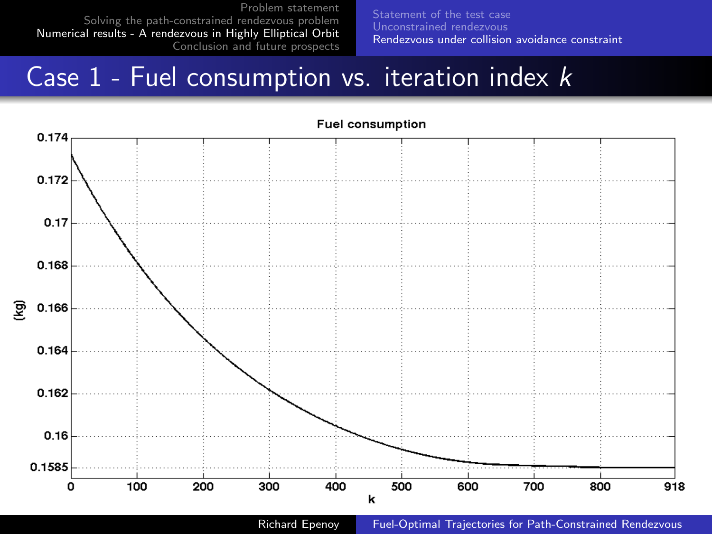Statement of the test case Unconstrained rendezvous Rendezvous under collision avoidance constraint

# Case  $1$  - Fuel consumption vs. iteration index  $k$



Richard Epenoy Fuel-Optimal Trajectories for Path-Constrained Rendezvous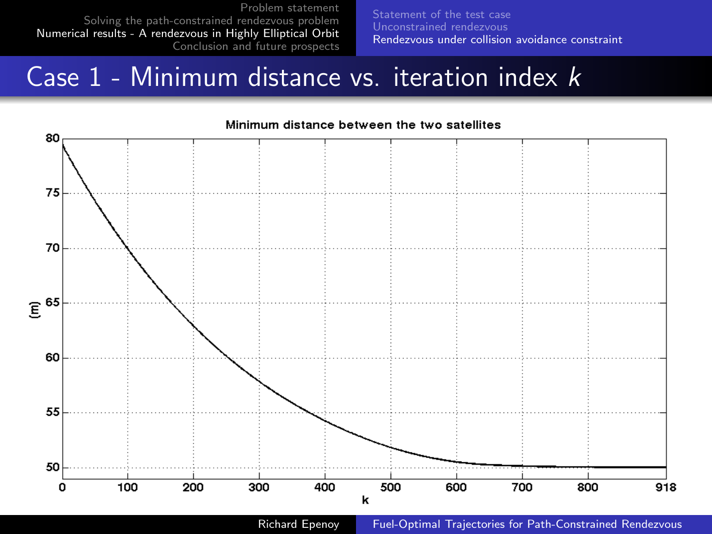Statement of the test case Unconstrained rendezvous Rendezvous under collision avoidance constraint

# Case  $1$  - Minimum distance vs. iteration index  $k$

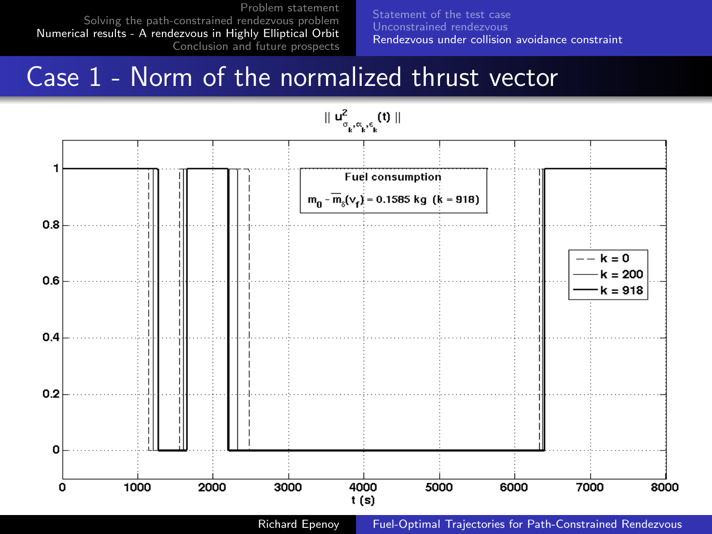Statement of the test case Unconstrained rendezvous Rendezvous under collision avoidance constraint

# Case 1 - Norm of the normalized thrust vector

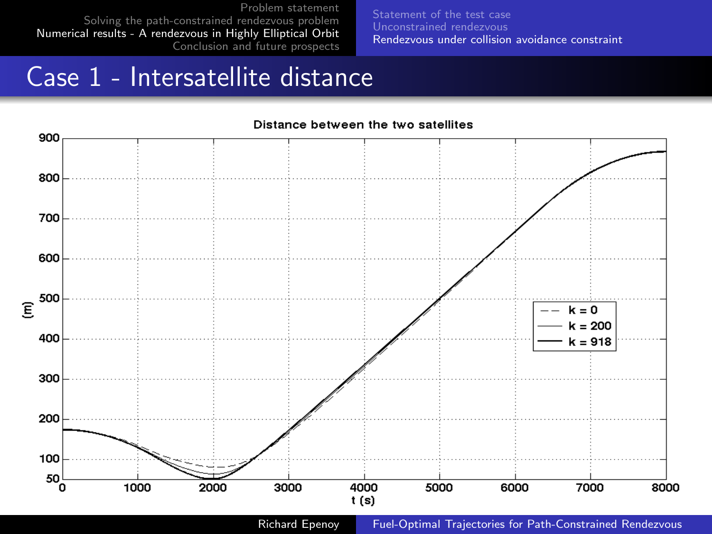Statement of the test case Unconstrained rendezvous Rendezvous under collision avoidance constraint

# Case 1 - Intersatellite distance

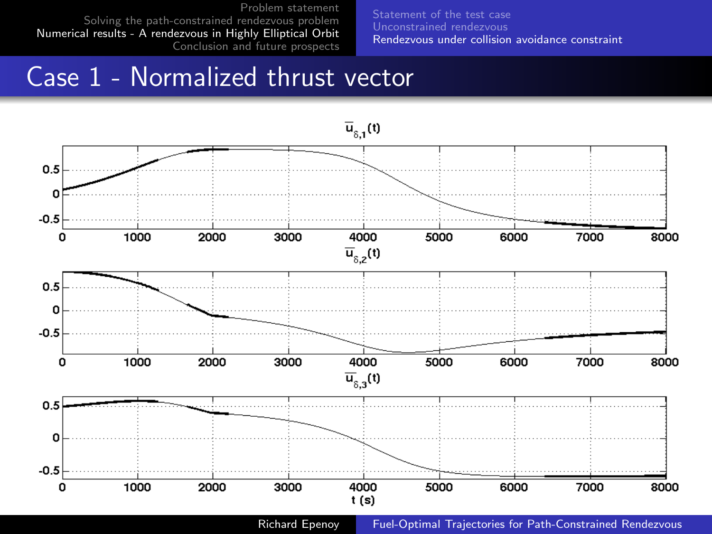Statement of the test case Unconstrained rendezvous Rendezvous under collision avoidance constraint

# Case 1 - Normalized thrust vector

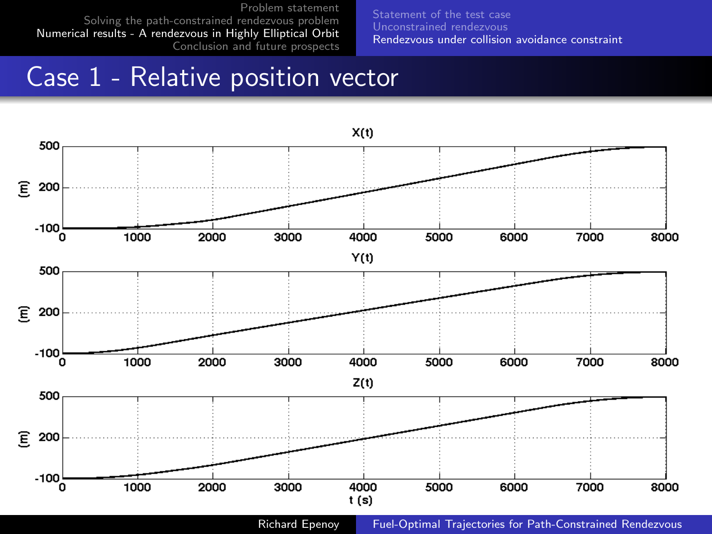Statement of the test case Unconstrained rendezvous Rendezvous under collision avoidance constraint

# Case 1 - Relative position vector

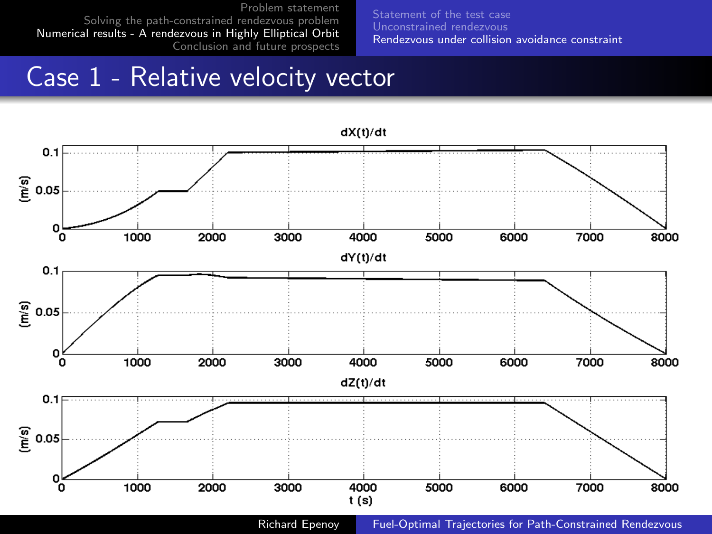Statement of the test case Unconstrained rendezvous Rendezvous under collision avoidance constraint

# Case 1 - Relative velocity vector

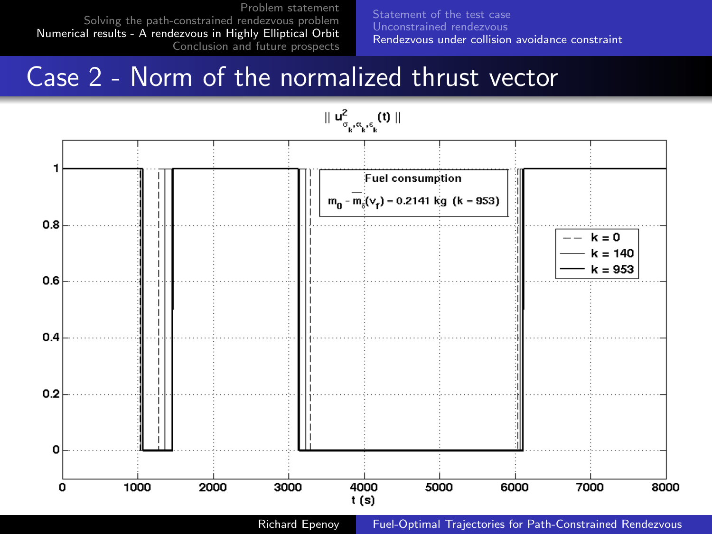Statement of the test case Unconstrained rendezvous Rendezvous under collision avoidance constraint

# Case 2 - Norm of the normalized thrust vector

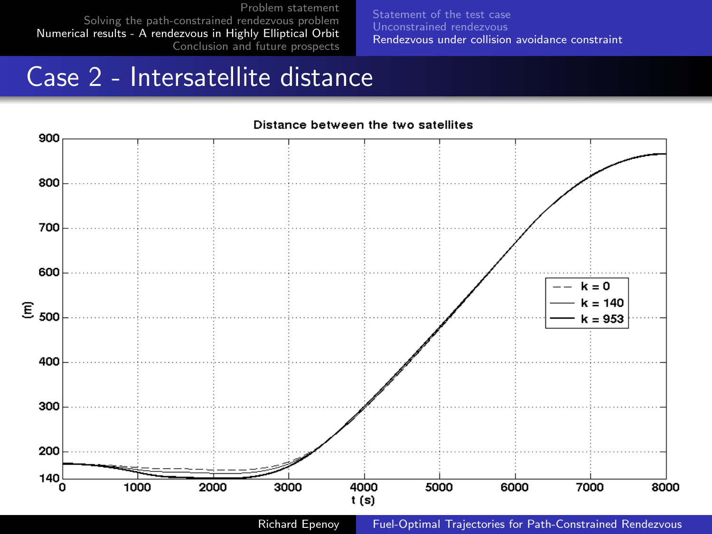Statement of the test case Unconstrained rendezvous Rendezvous under collision avoidance constraint

# Case 2 - Intersatellite distance

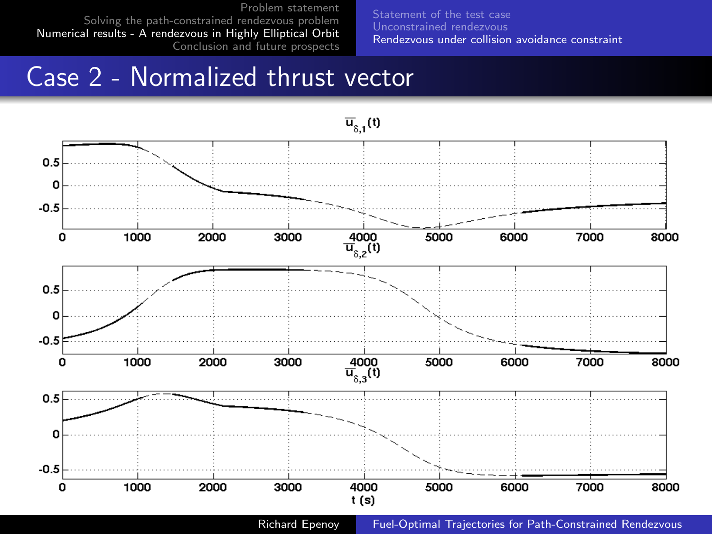Statement of the test case Unconstrained rendezvous Rendezvous under collision avoidance constraint

# Case 2 - Normalized thrust vector

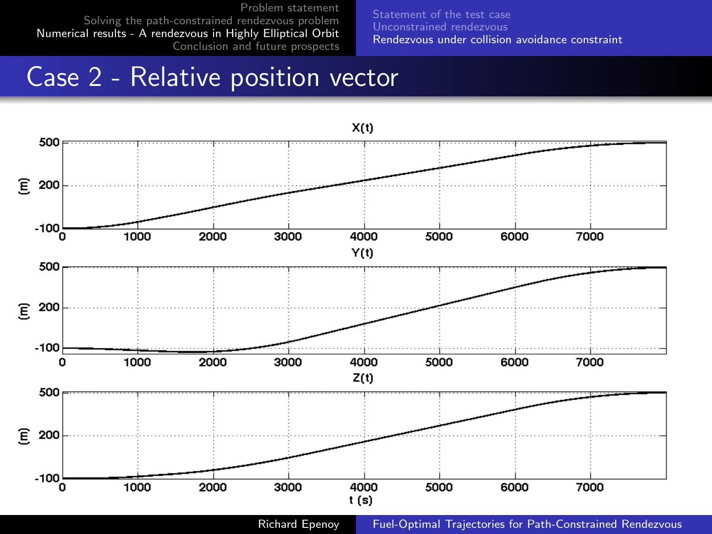Statement of the test case Unconstrained rendezvous Rendezvous under collision avoidance constraint

# Case 2 - Relative position vector

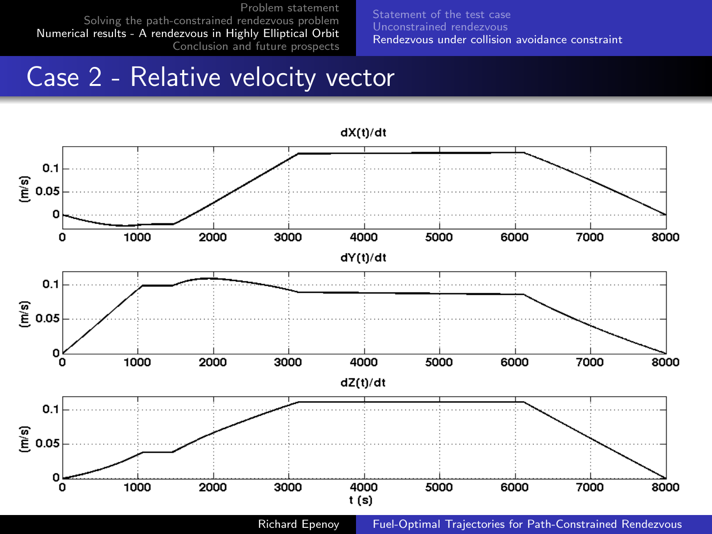Statement of the test case Unconstrained rendezvous Rendezvous under collision avoidance constraint

# Case 2 - Relative velocity vector

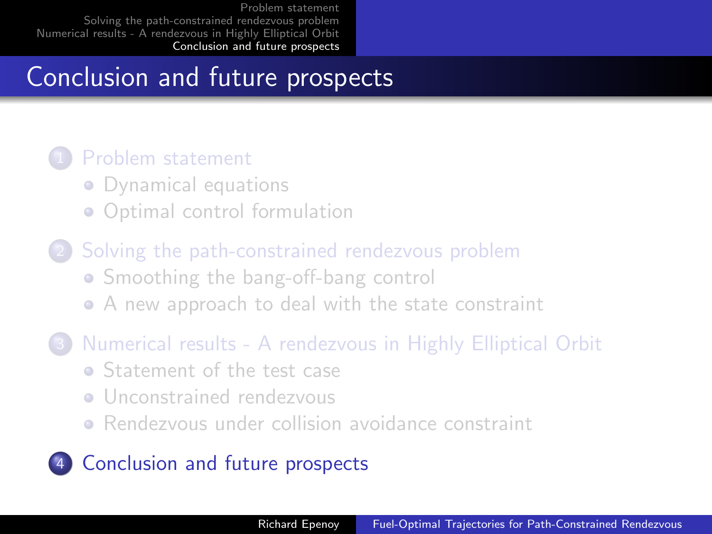# Conclusion and future prospects

#### Problem statement

- Dynamical equations
- Optimal control formulation
- Solving the path-constrained rendezvous problem **• Smoothing the bang-off-bang control** A new approach to deal with the state constraint
- 3 Numerical results A rendezvous in Highly Elliptical Orbit
	- **Statement of the test case**
	- **•** Unconstrained rendezvous
	- Rendezvous under collision avoidance constraint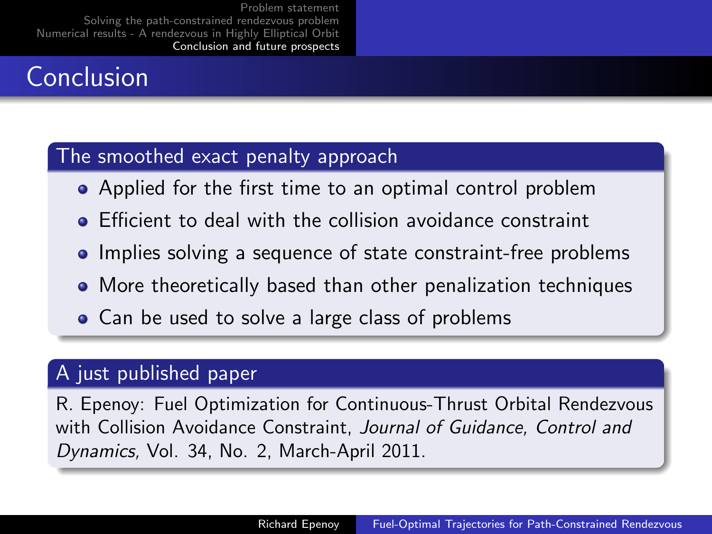# Conclusion

#### The smoothed exact penalty approach

- Applied for the first time to an optimal control problem
- **•** Efficient to deal with the collision avoidance constraint
- Implies solving a sequence of state constraint-free problems
- More theoretically based than other penalization techniques
- Can be used to solve a large class of problems

#### A just published paper

R. Epenoy: Fuel Optimization for Continuous-Thrust Orbital Rendezvous with Collision Avoidance Constraint, Journal of Guidance, Control and Dynamics, Vol. 34, No. 2, March-April 2011.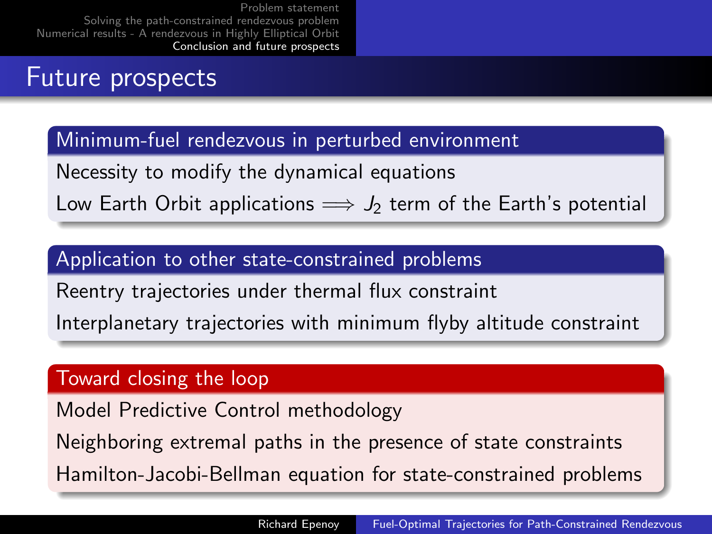# Future prospects

#### Minimum-fuel rendezvous in perturbed environment

Necessity to modify the dynamical equations

Low Earth Orbit applications  $\implies J_2$  term of the Earth's potential

#### Application to other state-constrained problems

Reentry trajectories under thermal flux constraint

Interplanetary trajectories with minimum flyby altitude constraint

#### Toward closing the loop

Model Predictive Control methodology

Neighboring extremal paths in the presence of state constraints

Hamilton-Jacobi-Bellman equation for state-constrained problems